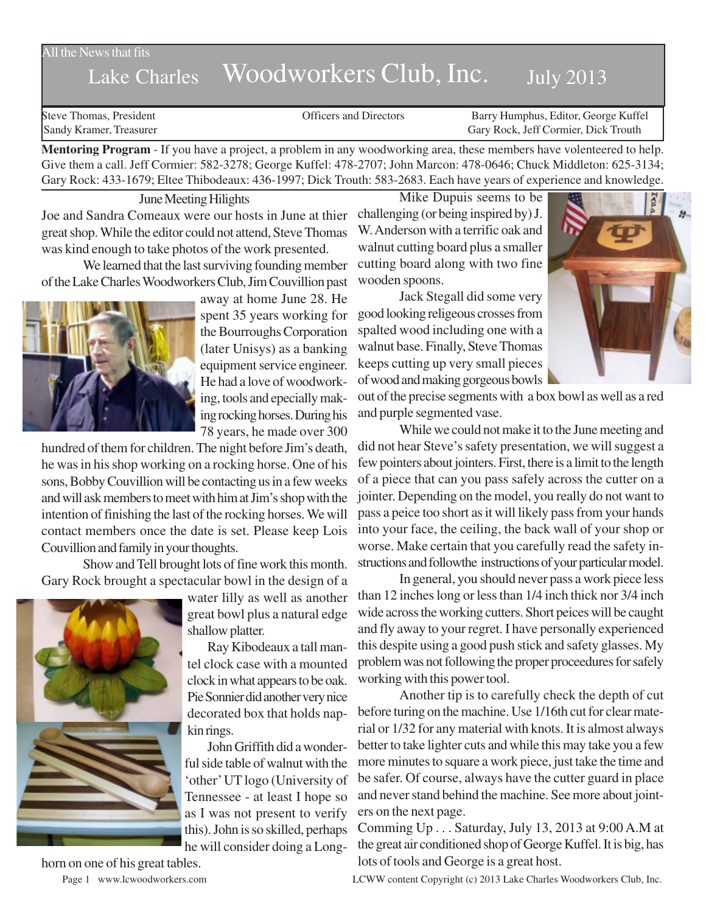#### All the News that fits

# Lake Charles Woodworkers Club, Inc. July 2013

Steve Thomas, President **State Concrete Concrete Concrete Concrete Concrete Concrete Concrete Concrete Concrete Concrete Concrete Concrete Concrete Concrete Concrete Concrete Concrete Concrete Concrete Concrete Concrete Co** Sandy Kramer, Treasurer Gary Rock, Jeff Cormier, Dick Trouth

**Mentoring Program** - If you have a project, a problem in any woodworking area, these members have volenteered to help. Give them a call. Jeff Cormier: 582-3278; George Kuffel: 478-2707; John Marcon: 478-0646; Chuck Middleton: 625-3134; Gary Rock: 433-1679; Eltee Thibodeaux: 436-1997; Dick Trouth: 583-2683. Each have years of experience and knowledge.

June Meeting Hilights

Joe and Sandra Comeaux were our hosts in June at thier great shop. While the editor could not attend, Steve Thomas was kind enough to take photos of the work presented.

We learned that the last surviving founding member of the Lake Charles Woodworkers Club, Jim Couvillion past



away at home June 28. He spent 35 years working for the Bourroughs Corporation (later Unisys) as a banking equipment service engineer. He had a love of woodworking, tools and epecially making rocking horses. During his 78 years, he made over 300

hundred of them for children. The night before Jim's death, he was in his shop working on a rocking horse. One of his sons, Bobby Couvillion will be contacting us in a few weeks and will ask members to meet with him at Jim's shop with the intention of finishing the last of the rocking horses. We will contact members once the date is set. Please keep Lois Couvillion and family in your thoughts.

Show and Tell brought lots of fine work this month. Gary Rock brought a spectacular bowl in the design of a



water lilly as well as another great bowl plus a natural edge shallow platter.

Ray Kibodeaux a tall mantel clock case with a mounted clock in what appears to be oak. Pie Sonnier did another very nice decorated box that holds napkin rings.

John Griffith did a wonderful side table of walnut with the 'other' UT logo (University of Tennessee - at least I hope so as I was not present to verify this). John is so skilled, perhaps he will consider doing a Long-

Mike Dupuis seems to be challenging (or being inspired by) J. W. Anderson with a terrific oak and walnut cutting board plus a smaller cutting board along with two fine wooden spoons.

Jack Stegall did some very good looking religeous crosses from spalted wood including one with a walnut base. Finally, Steve Thomas keeps cutting up very small pieces of wood and making gorgeous bowls



out of the precise segments with a box bowl as well as a red and purple segmented vase.

While we could not make it to the June meeting and did not hear Steve's safety presentation, we will suggest a few pointers about jointers. First, there is a limit to the length of a piece that can you pass safely across the cutter on a jointer. Depending on the model, you really do not want to pass a peice too short as it will likely pass from your hands into your face, the ceiling, the back wall of your shop or worse. Make certain that you carefully read the safety instructions and followthe instructions of your particular model.

In general, you should never pass a work piece less than 12 inches long or less than 1/4 inch thick nor 3/4 inch wide across the working cutters. Short peices will be caught and fly away to your regret. I have personally experienced this despite using a good push stick and safety glasses. My problem was not following the proper proceedures for safely working with this power tool.

Another tip is to carefully check the depth of cut before turing on the machine. Use 1/16th cut for clear material or 1/32 for any material with knots. It is almost always better to take lighter cuts and while this may take you a few more minutes to square a work piece, just take the time and be safer. Of course, always have the cutter guard in place and never stand behind the machine. See more about jointers on the next page.

Comming Up . . . Saturday, July 13, 2013 at 9:00 A.M at the great air conditioned shop of George Kuffel. It is big, has lots of tools and George is a great host.

horn on one of his great tables.

Page 1 www.lcwoodworkers.com LCWW content Copyright (c) 2013 Lake Charles Woodworkers Club, Inc.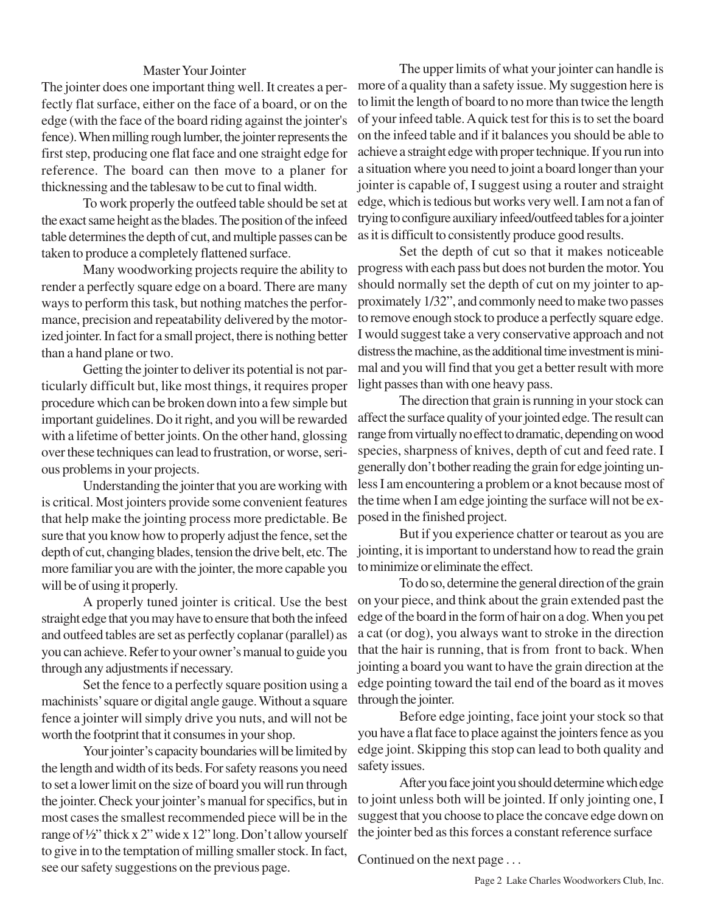### Master Your Jointer

The jointer does one important thing well. It creates a perfectly flat surface, either on the face of a board, or on the edge (with the face of the board riding against the jointer's fence). When milling rough lumber, the jointer represents the first step, producing one flat face and one straight edge for reference. The board can then move to a planer for thicknessing and the tablesaw to be cut to final width.

To work properly the outfeed table should be set at the exact same height as the blades. The position of the infeed table determines the depth of cut, and multiple passes can be taken to produce a completely flattened surface.

Many woodworking projects require the ability to render a perfectly square edge on a board. There are many ways to perform this task, but nothing matches the performance, precision and repeatability delivered by the motorized jointer. In fact for a small project, there is nothing better than a hand plane or two.

Getting the jointer to deliver its potential is not particularly difficult but, like most things, it requires proper procedure which can be broken down into a few simple but important guidelines. Do it right, and you will be rewarded with a lifetime of better joints. On the other hand, glossing over these techniques can lead to frustration, or worse, serious problems in your projects.

Understanding the jointer that you are working with is critical. Most jointers provide some convenient features that help make the jointing process more predictable. Be sure that you know how to properly adjust the fence, set the depth of cut, changing blades, tension the drive belt, etc. The more familiar you are with the jointer, the more capable you will be of using it properly.

A properly tuned jointer is critical. Use the best straight edge that you may have to ensure that both the infeed and outfeed tables are set as perfectly coplanar (parallel) as you can achieve. Refer to your owner's manual to guide you through any adjustments if necessary.

Set the fence to a perfectly square position using a machinists' square or digital angle gauge. Without a square fence a jointer will simply drive you nuts, and will not be worth the footprint that it consumes in your shop.

Your jointer's capacity boundaries will be limited by the length and width of its beds. For safety reasons you need to set a lower limit on the size of board you will run through the jointer. Check your jointer's manual for specifics, but in most cases the smallest recommended piece will be in the range of ½" thick x 2" wide x 12" long. Don't allow yourself to give in to the temptation of milling smaller stock. In fact, see our safety suggestions on the previous page.

The upper limits of what your jointer can handle is more of a quality than a safety issue. My suggestion here is to limit the length of board to no more than twice the length of your infeed table. A quick test for this is to set the board on the infeed table and if it balances you should be able to achieve a straight edge with proper technique. If you run into a situation where you need to joint a board longer than your jointer is capable of, I suggest using a router and straight edge, which is tedious but works very well. I am not a fan of trying to configure auxiliary infeed/outfeed tables for a jointer as it is difficult to consistently produce good results.

Set the depth of cut so that it makes noticeable progress with each pass but does not burden the motor. You should normally set the depth of cut on my jointer to approximately 1/32", and commonly need to make two passes to remove enough stock to produce a perfectly square edge. I would suggest take a very conservative approach and not distress the machine, as the additional time investment is minimal and you will find that you get a better result with more light passes than with one heavy pass.

The direction that grain is running in your stock can affect the surface quality of your jointed edge. The result can range from virtually no effect to dramatic, depending on wood species, sharpness of knives, depth of cut and feed rate. I generally don't bother reading the grain for edge jointing unless I am encountering a problem or a knot because most of the time when I am edge jointing the surface will not be exposed in the finished project.

But if you experience chatter or tearout as you are jointing, it is important to understand how to read the grain to minimize or eliminate the effect.

To do so, determine the general direction of the grain on your piece, and think about the grain extended past the edge of the board in the form of hair on a dog. When you pet a cat (or dog), you always want to stroke in the direction that the hair is running, that is from front to back. When jointing a board you want to have the grain direction at the edge pointing toward the tail end of the board as it moves through the jointer.

Before edge jointing, face joint your stock so that you have a flat face to place against the jointers fence as you edge joint. Skipping this stop can lead to both quality and safety issues.

After you face joint you should determine which edge to joint unless both will be jointed. If only jointing one, I suggest that you choose to place the concave edge down on the jointer bed as this forces a constant reference surface

Continued on the next page . . .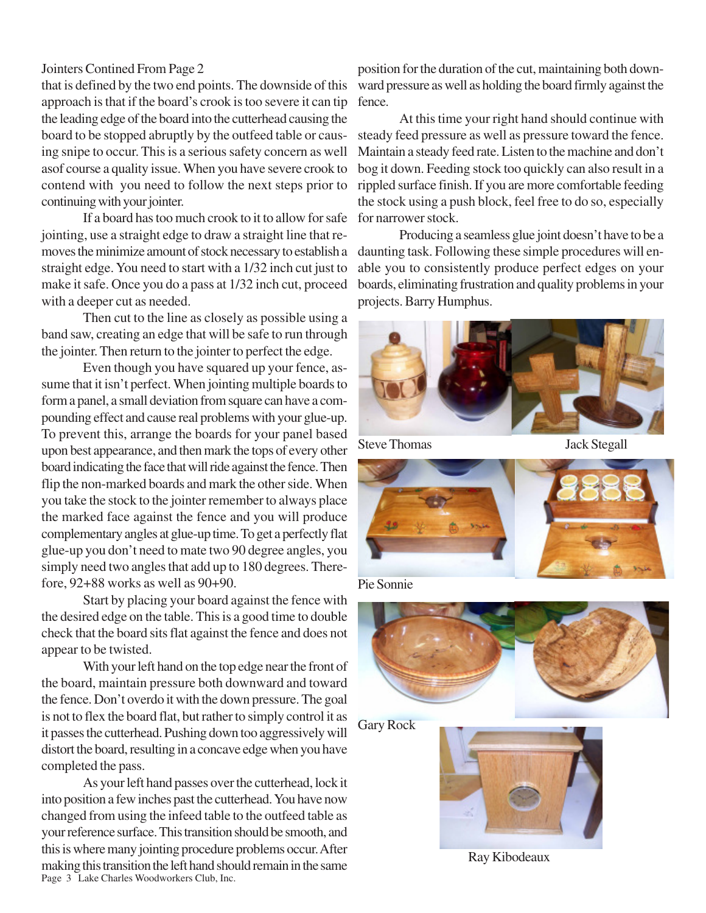## Jointers Contined From Page 2

that is defined by the two end points. The downside of this approach is that if the board's crook is too severe it can tip the leading edge of the board into the cutterhead causing the board to be stopped abruptly by the outfeed table or causing snipe to occur. This is a serious safety concern as well asof course a quality issue. When you have severe crook to contend with you need to follow the next steps prior to continuing with your jointer.

If a board has too much crook to it to allow for safe jointing, use a straight edge to draw a straight line that removes the minimize amount of stock necessary to establish a straight edge. You need to start with a 1/32 inch cut just to make it safe. Once you do a pass at 1/32 inch cut, proceed with a deeper cut as needed.

Then cut to the line as closely as possible using a band saw, creating an edge that will be safe to run through the jointer. Then return to the jointer to perfect the edge.

Even though you have squared up your fence, assume that it isn't perfect. When jointing multiple boards to form a panel, a small deviation from square can have a compounding effect and cause real problems with your glue-up. To prevent this, arrange the boards for your panel based upon best appearance, and then mark the tops of every other board indicating the face that will ride against the fence. Then flip the non-marked boards and mark the other side. When you take the stock to the jointer remember to always place the marked face against the fence and you will produce complementary angles at glue-up time. To get a perfectly flat glue-up you don't need to mate two 90 degree angles, you simply need two angles that add up to 180 degrees. Therefore, 92+88 works as well as 90+90.

Start by placing your board against the fence with the desired edge on the table. This is a good time to double check that the board sits flat against the fence and does not appear to be twisted.

With your left hand on the top edge near the front of the board, maintain pressure both downward and toward the fence. Don't overdo it with the down pressure. The goal is not to flex the board flat, but rather to simply control it as it passes the cutterhead. Pushing down too aggressively will distort the board, resulting in a concave edge when you have completed the pass.

Page 3 Lake Charles Woodworkers Club, Inc. As your left hand passes over the cutterhead, lock it into position a few inches past the cutterhead. You have now changed from using the infeed table to the outfeed table as your reference surface. This transition should be smooth, and this is where many jointing procedure problems occur. After making this transition the left hand should remain in the same

position for the duration of the cut, maintaining both downward pressure as well as holding the board firmly against the fence.

At this time your right hand should continue with steady feed pressure as well as pressure toward the fence. Maintain a steady feed rate. Listen to the machine and don't bog it down. Feeding stock too quickly can also result in a rippled surface finish. If you are more comfortable feeding the stock using a push block, feel free to do so, especially for narrower stock.

Producing a seamless glue joint doesn't have to be a daunting task. Following these simple procedures will enable you to consistently produce perfect edges on your boards, eliminating frustration and quality problems in your projects. Barry Humphus.



Steve Thomas Jack Stegall



Pie Sonnie



Gary Rock



Ray Kibodeaux